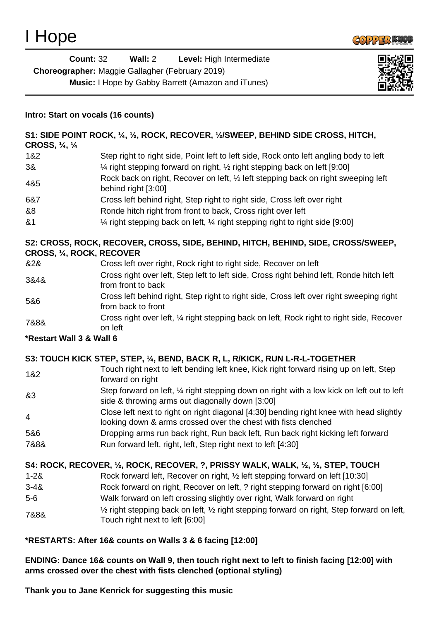

| <b>Count: 32</b>                                       | Wall: 2 | Level: High Intermediate                                  |
|--------------------------------------------------------|---------|-----------------------------------------------------------|
| <b>Choreographer:</b> Maggie Gallagher (February 2019) |         |                                                           |
|                                                        |         | <b>Music:</b> I Hope by Gabby Barrett (Amazon and iTunes) |



### **Intro: Start on vocals (16 counts)**

| CROSS, 1/4, 1/4 | S1: SIDE POINT ROCK, 1/4, 1/2, ROCK, RECOVER, 1/2/SWEEP, BEHIND SIDE CROSS, HITCH,                        |
|-----------------|-----------------------------------------------------------------------------------------------------------|
| 1&2             | Step right to right side, Point left to left side, Rock onto left angling body to left                    |
| 3&              | 1⁄4 right stepping forward on right, 1⁄2 right stepping back on left [9:00]                               |
| 4&5             | Rock back on right, Recover on left, 1/2 left stepping back on right sweeping left<br>behind right [3:00] |
| 6&7             | Cross left behind right, Step right to right side, Cross left over right                                  |
| &8              | Ronde hitch right from front to back, Cross right over left                                               |
| 8 <sub>1</sub>  | 1⁄4 right stepping back on left, 1⁄4 right stepping right to right side [9:00]                            |

## **S2: CROSS, ROCK, RECOVER, CROSS, SIDE, BEHIND, HITCH, BEHIND, SIDE, CROSS/SWEEP, CROSS, ¼, ROCK, RECOVER**

| &2&  | Cross left over right, Rock right to right side, Recover on left                                               |
|------|----------------------------------------------------------------------------------------------------------------|
| 3&4& | Cross right over left, Step left to left side, Cross right behind left, Ronde hitch left<br>from front to back |
| 5&6  | Cross left behind right, Step right to right side, Cross left over right sweeping right<br>from back to front  |
| 7&8& | Cross right over left, 1/4 right stepping back on left, Rock right to right side, Recover<br>عكمل مرم          |

# on left

### **\*Restart Wall 3 & Wall 6**

### **S3: TOUCH KICK STEP, STEP, ¼, BEND, BACK R, L, R/KICK, RUN L-R-L-TOGETHER**

- 1&2 Touch right next to left bending left knee, Kick right forward rising up on left, Step forward on right
- &3 Step forward on left, ¼ right stepping down on right with a low kick on left out to left side & throwing arms out diagonally down [3:00]
- 4 Close left next to right on right diagonal [4:30] bending right knee with head slightly looking down & arms crossed over the chest with fists clenched
- 5&6 Dropping arms run back right, Run back left, Run back right kicking left forward 7&8& Run forward left, right, left, Step right next to left [4:30]

# **S4: ROCK, RECOVER, ½, ROCK, RECOVER, ?, PRISSY WALK, WALK, ½, ½, STEP, TOUCH**

- 1-2& Rock forward left, Recover on right, ½ left stepping forward on left [10:30]
- 3-4& Rock forward on right, Recover on left, ? right stepping forward on right [6:00]
- 5-6 Walk forward on left crossing slightly over right, Walk forward on right
- 7&8& ½ right stepping back on left, ½ right stepping forward on right, Step forward on left, Touch right next to left [6:00]

# **\*RESTARTS: After 16& counts on Walls 3 & 6 facing [12:00]**

**ENDING: Dance 16& counts on Wall 9, then touch right next to left to finish facing [12:00] with arms crossed over the chest with fists clenched (optional styling)**

**Thank you to Jane Kenrick for suggesting this music**